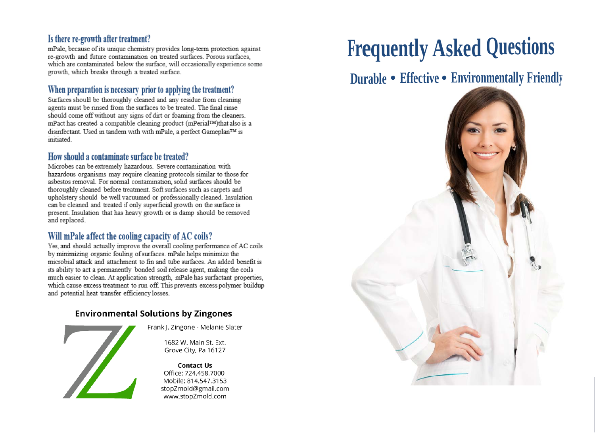#### **Is there re-growth after treatment?**

mPale, because of its unique chemistry provides long-term protection against re-growth and future contamination on treated surfaces. Porous surfaces, which are contaminated below the surface, will occasionally experience some growth, which breaks through a treated surface.

#### **When preparation is necessary prior to applying the treatment?**

Surfaces should be thoroughly cleaned and any residue from cleaning agents must be rinsed from the surfaces to be treated. The final rinse should come off without any signs of dirt or foaming from the cleaners. mPact has created a compatible cleaning product (mPerial™)that also is a disinfectant. Used in tandem with with mPale, a perfect Gameplan™ is initiated

#### **How should a contaminate surface be treated?**

Microbes can be extremely hazardous. Severe contamination with hazardous organisms may require cleaning protocols similar to those for asbestos removal. For normal contamination, solid surfaces should be thoroughly cleaned before treatment. Soft surfaces such as carpets and upholstery should be well vacuumed or professionally cleaned. Insulation can be cleaned and treated if only superficial growth on the surface is present. Insulation that has heavy growth or is damp should be removed and replaced.

# **Will mPale affect the cooling capacity of AC coils?**

Yes, and should actually improve the overall cooling performance of AC coils by minimizing organic fouling ofsurfaces. mPale helps minimize the microbial attack and attachment to fin and tube surfaces. An added benefit is much easier to clean. At application strength, mPale has surfactant properties, much easier to application strength, me are has surfactant properties,<br>In arrange tractment to cur affilm property arrange polymor building which causes it cauncil which can build prevents excess polymer buildup and potential heat transfer efficiency losses.

#### **Environmental Solutions by Zingones**



Frank J. Zingone - Melanie Slater

1682 W. Main St. Ext. Grove City, Pa 16127

**Contact Us** Office: 724.458.7000 Mobile: 814.547.3153 stopZmold@gmail.com www.stopZmold.com

# **Frequently Asked Questions**

# **Durable • Effective • Environmentally Friendly**